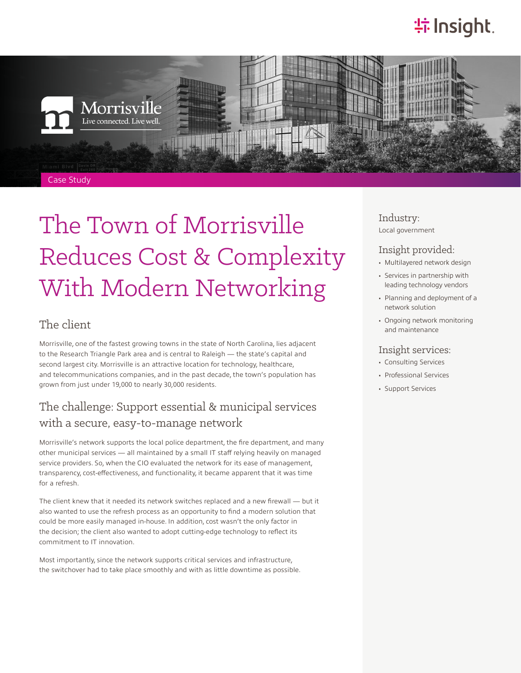# **特Insight**.



# The Town of Morrisville Reduces Cost & Complexity With Modern Networking

#### The client

Morrisville, one of the fastest growing towns in the state of North Carolina, lies adjacent to the Research Triangle Park area and is central to Raleigh — the state's capital and second largest city. Morrisville is an attractive location for technology, healthcare, and telecommunications companies, and in the past decade, the town's population has grown from just under 19,000 to nearly 30,000 residents.

#### The challenge: Support essential & municipal services with a secure, easy-to-manage network

Morrisville's network supports the local police department, the fire department, and many other municipal services — all maintained by a small IT staff relying heavily on managed service providers. So, when the CIO evaluated the network for its ease of management, transparency, cost-effectiveness, and functionality, it became apparent that it was time for a refresh.

The client knew that it needed its network switches replaced and a new firewall — but it also wanted to use the refresh process as an opportunity to find a modern solution that could be more easily managed in-house. In addition, cost wasn't the only factor in the decision; the client also wanted to adopt cutting-edge technology to reflect its commitment to IT innovation.

Most importantly, since the network supports critical services and infrastructure, the switchover had to take place smoothly and with as little downtime as possible. Industry: Local government

#### Insight provided:

- Multilayered network design
- Services in partnership with leading technology vendors
- Planning and deployment of a network solution
- Ongoing network monitoring and maintenance

#### Insight services:

- Consulting Services
- Professional Services
- Support Services